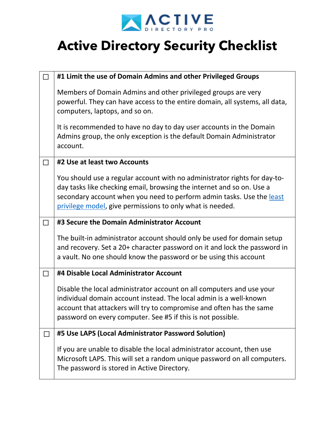

|                | #1 Limit the use of Domain Admins and other Privileged Groups                                                                                                                                                                                                                            |
|----------------|------------------------------------------------------------------------------------------------------------------------------------------------------------------------------------------------------------------------------------------------------------------------------------------|
|                | Members of Domain Admins and other privileged groups are very<br>powerful. They can have access to the entire domain, all systems, all data,<br>computers, laptops, and so on.                                                                                                           |
|                | It is recommended to have no day to day user accounts in the Domain<br>Admins group, the only exception is the default Domain Administrator<br>account.                                                                                                                                  |
| $\blacksquare$ | #2 Use at least two Accounts                                                                                                                                                                                                                                                             |
|                | You should use a regular account with no administrator rights for day-to-<br>day tasks like checking email, browsing the internet and so on. Use a<br>secondary account when you need to perform admin tasks. Use the least<br>privilege model, give permissions to only what is needed. |
| П              | #3 Secure the Domain Administrator Account                                                                                                                                                                                                                                               |
|                | The built-in administrator account should only be used for domain setup<br>and recovery. Set a 20+ character password on it and lock the password in<br>a vault. No one should know the password or be using this account                                                                |
|                | #4 Disable Local Administrator Account                                                                                                                                                                                                                                                   |
|                | Disable the local administrator account on all computers and use your<br>individual domain account instead. The local admin is a well-known<br>account that attackers will try to compromise and often has the same<br>password on every computer. See #5 if this is not possible.       |
|                | #5 Use LAPS (Local Administrator Password Solution)                                                                                                                                                                                                                                      |
|                | If you are unable to disable the local administrator account, then use<br>Microsoft LAPS. This will set a random unique password on all computers.<br>The password is stored in Active Directory.                                                                                        |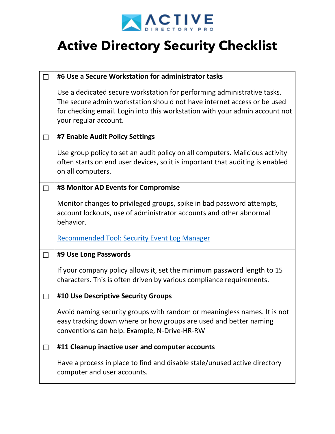

| П      | #6 Use a Secure Workstation for administrator tasks                                                                                                                                                                                                        |
|--------|------------------------------------------------------------------------------------------------------------------------------------------------------------------------------------------------------------------------------------------------------------|
|        | Use a dedicated secure workstation for performing administrative tasks.<br>The secure admin workstation should not have internet access or be used<br>for checking email. Login into this workstation with your admin account not<br>your regular account. |
| $\Box$ | #7 Enable Audit Policy Settings                                                                                                                                                                                                                            |
|        | Use group policy to set an audit policy on all computers. Malicious activity<br>often starts on end user devices, so it is important that auditing is enabled<br>on all computers.                                                                         |
| $\Box$ | #8 Monitor AD Events for Compromise                                                                                                                                                                                                                        |
|        | Monitor changes to privileged groups, spike in bad password attempts,<br>account lockouts, use of administrator accounts and other abnormal<br>behavior.                                                                                                   |
|        | <b>Recommended Tool: Security Event Log Manager</b>                                                                                                                                                                                                        |
| $\Box$ | #9 Use Long Passwords                                                                                                                                                                                                                                      |
|        | If your company policy allows it, set the minimum password length to 15<br>characters. This is often driven by various compliance requirements.                                                                                                            |
| $\Box$ | #10 Use Descriptive Security Groups                                                                                                                                                                                                                        |
|        | Avoid naming security groups with random or meaningless names. It is not<br>easy tracking down where or how groups are used and better naming<br>conventions can help. Example, N-Drive-HR-RW                                                              |
| $\Box$ | #11 Cleanup inactive user and computer accounts                                                                                                                                                                                                            |
|        | Have a process in place to find and disable stale/unused active directory<br>computer and user accounts.                                                                                                                                                   |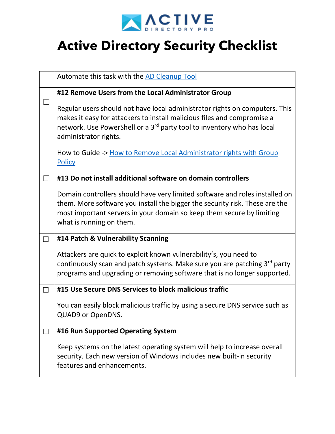

|        | Automate this task with the AD Cleanup Tool                                                                                                                                                                                                                           |
|--------|-----------------------------------------------------------------------------------------------------------------------------------------------------------------------------------------------------------------------------------------------------------------------|
|        | #12 Remove Users from the Local Administrator Group                                                                                                                                                                                                                   |
|        | Regular users should not have local administrator rights on computers. This<br>makes it easy for attackers to install malicious files and compromise a<br>network. Use PowerShell or a 3 <sup>rd</sup> party tool to inventory who has local<br>administrator rights. |
|        | How to Guide -> How to Remove Local Administrator rights with Group<br><b>Policy</b>                                                                                                                                                                                  |
|        | #13 Do not install additional software on domain controllers                                                                                                                                                                                                          |
|        | Domain controllers should have very limited software and roles installed on<br>them. More software you install the bigger the security risk. These are the<br>most important servers in your domain so keep them secure by limiting<br>what is running on them.       |
| $\Box$ | #14 Patch & Vulnerability Scanning                                                                                                                                                                                                                                    |
|        | Attackers are quick to exploit known vulnerability's, you need to<br>continuously scan and patch systems. Make sure you are patching 3 <sup>rd</sup> party<br>programs and upgrading or removing software that is no longer supported.                                |
| $\Box$ | #15 Use Secure DNS Services to block malicious traffic                                                                                                                                                                                                                |
|        | You can easily block malicious traffic by using a secure DNS service such as<br>QUAD9 or OpenDNS.                                                                                                                                                                     |
|        | #16 Run Supported Operating System                                                                                                                                                                                                                                    |
|        | Keep systems on the latest operating system will help to increase overall<br>security. Each new version of Windows includes new built-in security<br>features and enhancements.                                                                                       |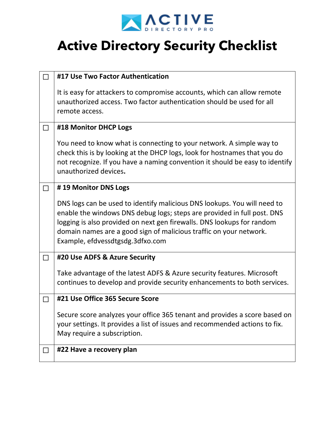

| П            | #17 Use Two Factor Authentication                                                                                                                                                                                                                                                                                                       |
|--------------|-----------------------------------------------------------------------------------------------------------------------------------------------------------------------------------------------------------------------------------------------------------------------------------------------------------------------------------------|
|              | It is easy for attackers to compromise accounts, which can allow remote<br>unauthorized access. Two factor authentication should be used for all<br>remote access.                                                                                                                                                                      |
| $\Box$       | #18 Monitor DHCP Logs                                                                                                                                                                                                                                                                                                                   |
|              | You need to know what is connecting to your network. A simple way to<br>check this is by looking at the DHCP logs, look for hostnames that you do<br>not recognize. If you have a naming convention it should be easy to identify<br>unauthorized devices.                                                                              |
| $\Box$       | #19 Monitor DNS Logs                                                                                                                                                                                                                                                                                                                    |
|              | DNS logs can be used to identify malicious DNS lookups. You will need to<br>enable the windows DNS debug logs; steps are provided in full post. DNS<br>logging is also provided on next gen firewalls. DNS lookups for random<br>domain names are a good sign of malicious traffic on your network.<br>Example, efdvessdtgsdg.3dfxo.com |
| $\Box$       | #20 Use ADFS & Azure Security                                                                                                                                                                                                                                                                                                           |
|              | Take advantage of the latest ADFS & Azure security features. Microsoft<br>continues to develop and provide security enhancements to both services.                                                                                                                                                                                      |
| $\mathsf{L}$ | #21 Use Office 365 Secure Score                                                                                                                                                                                                                                                                                                         |
|              | Secure score analyzes your office 365 tenant and provides a score based on<br>your settings. It provides a list of issues and recommended actions to fix.<br>May require a subscription.                                                                                                                                                |
|              | #22 Have a recovery plan                                                                                                                                                                                                                                                                                                                |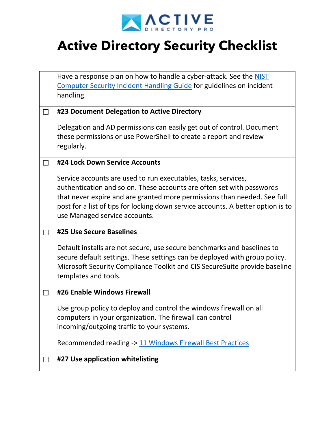

|        | Have a response plan on how to handle a cyber-attack. See the NIST                                                                                                                                                                                                                                                                       |
|--------|------------------------------------------------------------------------------------------------------------------------------------------------------------------------------------------------------------------------------------------------------------------------------------------------------------------------------------------|
|        | <b>Computer Security Incident Handling Guide for guidelines on incident</b>                                                                                                                                                                                                                                                              |
|        | handling.                                                                                                                                                                                                                                                                                                                                |
| $\Box$ | #23 Document Delegation to Active Directory                                                                                                                                                                                                                                                                                              |
|        | Delegation and AD permissions can easily get out of control. Document<br>these permissions or use PowerShell to create a report and review<br>regularly.                                                                                                                                                                                 |
|        | #24 Lock Down Service Accounts                                                                                                                                                                                                                                                                                                           |
|        | Service accounts are used to run executables, tasks, services,<br>authentication and so on. These accounts are often set with passwords<br>that never expire and are granted more permissions than needed. See full<br>post for a list of tips for locking down service accounts. A better option is to<br>use Managed service accounts. |
| П      | #25 Use Secure Baselines                                                                                                                                                                                                                                                                                                                 |
|        | Default installs are not secure, use secure benchmarks and baselines to<br>secure default settings. These settings can be deployed with group policy.<br>Microsoft Security Compliance Toolkit and CIS Secure Suite provide baseline<br>templates and tools.                                                                             |
| □      | #26 Enable Windows Firewall                                                                                                                                                                                                                                                                                                              |
|        | Use group policy to deploy and control the windows firewall on all<br>computers in your organization. The firewall can control<br>incoming/outgoing traffic to your systems.<br>Recommended reading -> 11 Windows Firewall Best Practices                                                                                                |
|        |                                                                                                                                                                                                                                                                                                                                          |
| $\Box$ | #27 Use application whitelisting                                                                                                                                                                                                                                                                                                         |